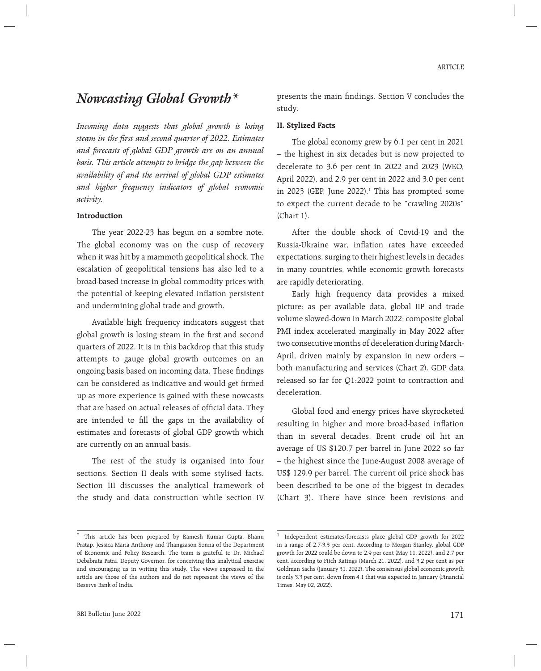# *Nowcasting Global Growth\**

*Incoming data suggests that global growth is losing steam in the first and second quarter of 2022. Estimates and forecasts of global GDP growth are on an annual basis. This article attempts to bridge the gap between the availability of and the arrival of global GDP estimates and higher frequency indicators of global economic activity.* 

#### **Introduction**

 The year 2022-23 has begun on a sombre note. The global economy was on the cusp of recovery when it was hit by a mammoth geopolitical shock. The escalation of geopolitical tensions has also led to a broad-based increase in global commodity prices with the potential of keeping elevated inflation persistent and undermining global trade and growth.

 Available high frequency indicators suggest that global growth is losing steam in the first and second quarters of 2022. It is in this backdrop that this study attempts to gauge global growth outcomes on an ongoing basis based on incoming data. These findings can be considered as indicative and would get firmed up as more experience is gained with these nowcasts that are based on actual releases of official data. They are intended to fill the gaps in the availability of estimates and forecasts of global GDP growth which are currently on an annual basis.

 The rest of the study is organised into four sections. Section II deals with some stylised facts. Section III discusses the analytical framework of the study and data construction while section IV

presents the main findings. Section V concludes the study.

#### **II. Stylized Facts**

 The global economy grew by 6.1 per cent in 2021 – the highest in six decades but is now projected to decelerate to 3.6 per cent in 2022 and 2023 (WEO, April 2022), and 2.9 per cent in 2022 and 3.0 per cent in 2023 (GEP, June 2022). $\frac{1}{1}$  This has prompted some to expect the current decade to be "crawling 2020s" (Chart 1).

 After the double shock of Covid-19 and the Russia-Ukraine war, inflation rates have exceeded expectations, surging to their highest levels in decades in many countries, while economic growth forecasts are rapidly deteriorating.

 Early high frequency data provides a mixed picture: as per available data, global IIP and trade volume slowed-down in March 2022; composite global PMI index accelerated marginally in May 2022 after two consecutive months of deceleration during March-April, driven mainly by expansion in new orders – both manufacturing and services (Chart 2). GDP data released so far for Q1:2022 point to contraction and deceleration.

 Global food and energy prices have skyrocketed resulting in higher and more broad-based inflation than in several decades. Brent crude oil hit an average of US \$120.7 per barrel in June 2022 so far – the highest since the June-August 2008 average of US\$ 129.9 per barrel. The current oil price shock has been described to be one of the biggest in decades (Chart 3). There have since been revisions and

<sup>\*</sup> This article has been prepared by Ramesh Kumar Gupta, Bhanu Pratap, Jessica Maria Anthony and Thangzason Sonna of the Department of Economic and Policy Research. The team is grateful to Dr. Michael Debabrata Patra, Deputy Governor, for conceiving this analytical exercise and encouraging us in writing this study. The views expressed in the article are those of the authors and do not represent the views of the Reserve Bank of India.

<sup>1</sup> Independent estimates/forecasts place global GDP growth for 2022 in a range of 2.7-3.3 per cent. According to Morgan Stanley, global GDP growth for 2022 could be down to 2.9 per cent (May 11, 2022), and 2.7 per cent, according to Fitch Ratings (March 21, 2022), and 3.2 per cent as per Goldman Sachs (January 31, 2022). The consensus global economic growth is only 3.3 per cent, down from 4.1 that was expected in January (Financial Times, May 02, 2022).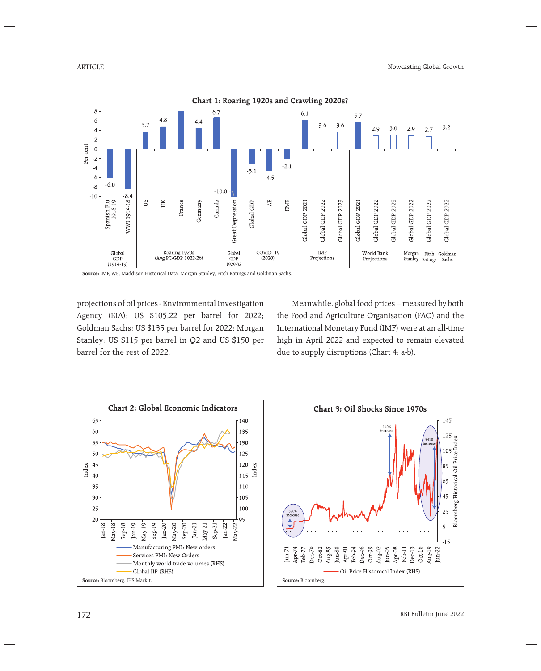

projections of oil prices - Environmental Investigation Agency (EIA): US \$105.22 per barrel for 2022; Goldman Sachs: US \$135 per barrel for 2022; Morgan Stanley: US \$115 per barrel in Q2 and US \$150 per barrel for the rest of 2022.

 Meanwhile, global food prices – measured by both the Food and Agriculture Organisation (FAO) and the International Monetary Fund (IMF) were at an all-time high in April 2022 and expected to remain elevated due to supply disruptions (Chart 4: a-b).

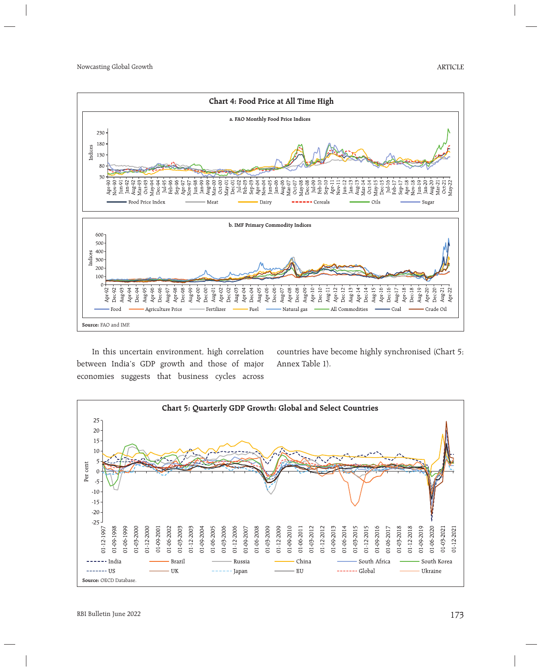

 In this uncertain environment, high correlation between India's GDP growth and those of major economies suggests that business cycles across

countries have become highly synchronised (Chart 5; Annex Table 1).

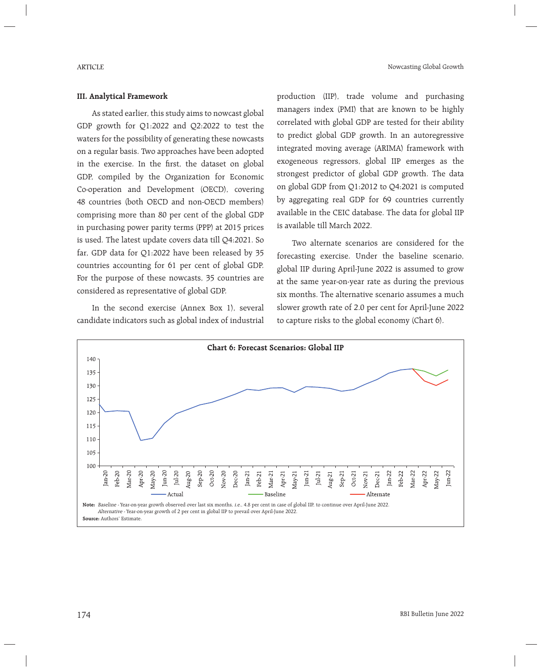## **III. Analytical Framework**

 As stated earlier, this study aims to nowcast global GDP growth for Q1:2022 and Q2:2022 to test the waters for the possibility of generating these nowcasts on a regular basis. Two approaches have been adopted in the exercise. In the first, the dataset on global GDP, compiled by the Organization for Economic Co-operation and Development (OECD), covering 48 countries (both OECD and non-OECD members) comprising more than 80 per cent of the global GDP in purchasing power parity terms (PPP) at 2015 prices is used. The latest update covers data till Q4:2021. So far, GDP data for Q1:2022 have been released by 35 countries accounting for 61 per cent of global GDP. For the purpose of these nowcasts, 35 countries are considered as representative of global GDP.

 In the second exercise (Annex Box 1), several candidate indicators such as global index of industrial production (IIP), trade volume and purchasing managers index (PMI) that are known to be highly correlated with global GDP are tested for their ability to predict global GDP growth. In an autoregressive integrated moving average (ARIMA) framework with exogeneous regressors, global IIP emerges as the strongest predictor of global GDP growth. The data on global GDP from Q1:2012 to Q4:2021 is computed by aggregating real GDP for 69 countries currently available in the CEIC database. The data for global IIP is available till March 2022.

 Two alternate scenarios are considered for the forecasting exercise. Under the baseline scenario, global IIP during April-June 2022 is assumed to grow at the same year-on-year rate as during the previous six months. The alternative scenario assumes a much slower growth rate of 2.0 per cent for April-June 2022 to capture risks to the global economy (Chart 6).

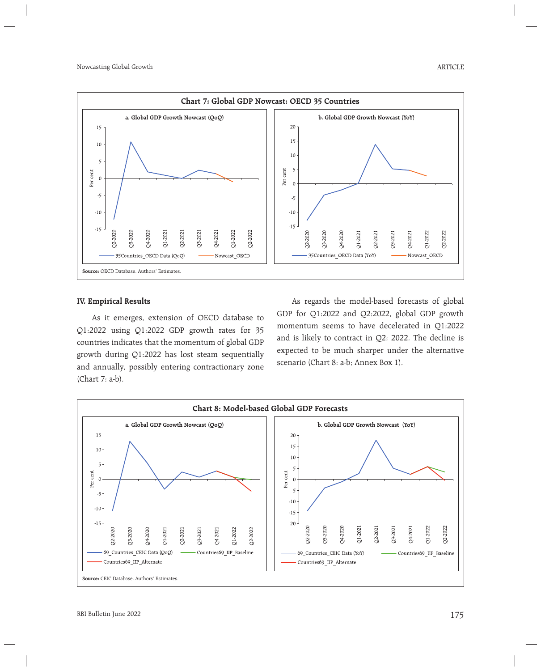

#### **IV. Empirical Results**

 As it emerges, extension of OECD database to Q1:2022 using Q1:2022 GDP growth rates for 35 countries indicates that the momentum of global GDP growth during Q1:2022 has lost steam sequentially and annually, possibly entering contractionary zone (Chart 7: a-b).

 As regards the model-based forecasts of global GDP for Q1:2022 and Q2:2022, global GDP growth momentum seems to have decelerated in Q1:2022 and is likely to contract in Q2: 2022. The decline is expected to be much sharper under the alternative scenario (Chart 8: a-b; Annex Box 1).

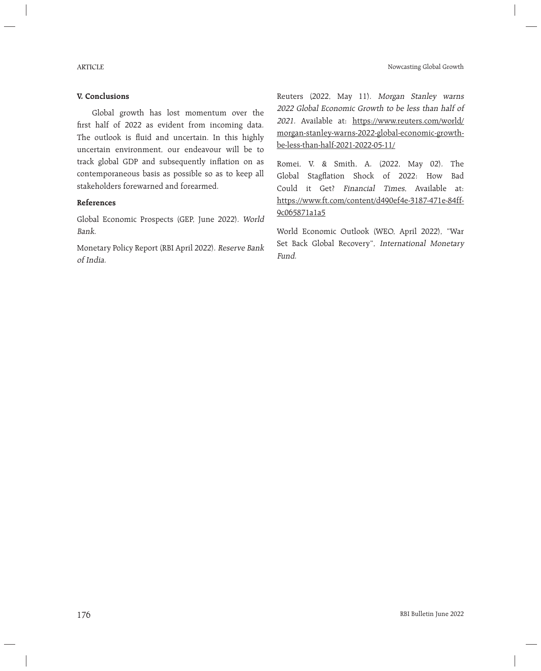## **V. Conclusions**

 Global growth has lost momentum over the first half of 2022 as evident from incoming data. The outlook is fluid and uncertain. In this highly uncertain environment, our endeavour will be to track global GDP and subsequently inflation on as contemporaneous basis as possible so as to keep all stakeholders forewarned and forearmed.

## **References**

Global Economic Prospects (GEP, June 2022). World Bank.

Monetary Policy Report (RBI April 2022). Reserve Bank of India.

Reuters (2022, May 11). Morgan Stanley warns 2022 Global Economic Growth to be less than half of <sup>2021</sup>. Available at: https://www.reuters.com/world/ morgan-stanley-warns-2022-global-economic-growthbe-less-than-half-2021-2022-05-11/

Romei, V. & Smith, A. (2022, May 02). The Global Stagflation Shock of 2022: How Bad Could it Get? Financial Times, Available at: https://www.ft.com/content/d490ef4e-3187-471e-84ff-9c065871a1a5

World Economic Outlook (WEO, April 2022), "War Set Back Global Recovery", International Monetary Fund.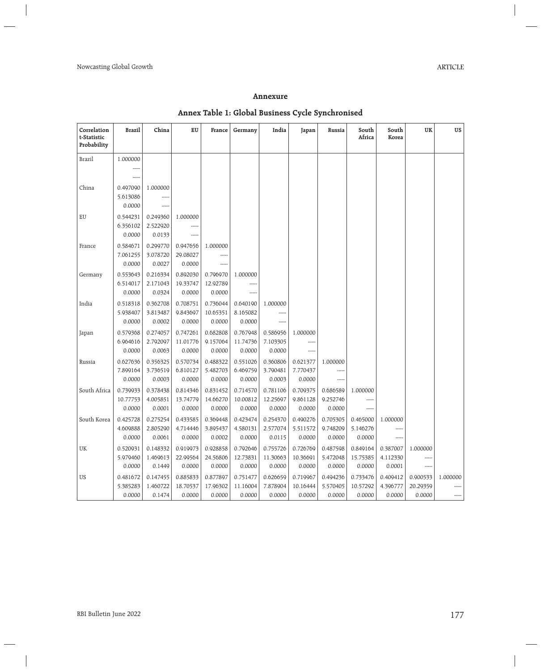## **Annexure**

## **Annex Table 1: Global Business Cycle Synchronised**

| Correlation<br>t-Statistic<br>Probability | Brazil                         | China                          | EU                             | France                         | Germany                        | India                          | Japan                          | Russia                         | South<br>Africa                | South<br>Korea                 | <b>UK</b>                      | US                |
|-------------------------------------------|--------------------------------|--------------------------------|--------------------------------|--------------------------------|--------------------------------|--------------------------------|--------------------------------|--------------------------------|--------------------------------|--------------------------------|--------------------------------|-------------------|
| <b>Brazil</b>                             | 1.000000<br>-----              |                                |                                |                                |                                |                                |                                |                                |                                |                                |                                |                   |
| China                                     | 0.497090<br>5.613086<br>0.0000 | 1.000000<br>-----<br>-----     |                                |                                |                                |                                |                                |                                |                                |                                |                                |                   |
| EU                                        | 0.544231<br>6.356102<br>0.0000 | 0.249360<br>2.522920<br>0.0133 | 1.000000<br>-----              |                                |                                |                                |                                |                                |                                |                                |                                |                   |
| France                                    | 0.584671<br>7.061255<br>0.0000 | 0.299770<br>3.078720<br>0.0027 | 0.947656<br>29.08027<br>0.0000 | 1.000000                       |                                |                                |                                |                                |                                |                                |                                |                   |
| Germany                                   | 0.553643<br>6.514017<br>0.0000 | 0.216334<br>2.171043<br>0.0324 | 0.892030<br>19.33747<br>0.0000 | 0.796970<br>12.92789<br>0.0000 | 1.000000<br>-----              |                                |                                |                                |                                |                                |                                |                   |
| India                                     | 0.518318<br>5.938407<br>0.0000 | 0.362708<br>3.813487<br>0.0002 | 0.708751<br>9.843697<br>0.0000 | 0.736044<br>10.65351<br>0.0000 | 0.640190<br>8.165082<br>0.0000 | 1.000000                       |                                |                                |                                |                                |                                |                   |
| Japan                                     | 0.579368<br>6.964616<br>0.0000 | 0.274057<br>2.792097<br>0.0063 | 0.747261<br>11.01776<br>0.0000 | 0.682808<br>9.157064<br>0.0000 | 0.767948<br>11.74736<br>0.0000 | 0.586956<br>7.103305<br>0.0000 | 1.000000<br>-----<br>-----     |                                |                                |                                |                                |                   |
| Russia                                    | 0.627636<br>7.899164<br>0.0000 | 0.356325<br>3.736519<br>0.0003 | 0.570734<br>6.810127<br>0.0000 | 0.488322<br>5.482703<br>0.0000 | 0.551026<br>6.469759<br>0.0000 | 0.360806<br>3.790481<br>0.0003 | 0.621377<br>7.770437<br>0.0000 | 1.000000<br>-----              |                                |                                |                                |                   |
| South Africa                              | 0.739933<br>10.77753<br>0.0000 | 0.378438<br>4.005851<br>0.0001 | 0.814346<br>13.74779<br>0.0000 | 0.831452<br>14.66270<br>0.0000 | 0.714570<br>10.00812<br>0.0000 | 0.781106<br>12.25697<br>0.0000 | 0.709375<br>9.861128<br>0.0000 | 0.686589<br>9.252746<br>0.0000 | 1.000000                       |                                |                                |                   |
| South Korea                               | 0.425728<br>4.609888<br>0.0000 | 0.275254<br>2.805290<br>0.0061 | 0.433585<br>4.714446<br>0.0000 | 0.369448<br>3.895437<br>0.0002 | 0.423474<br>4.580131<br>0.0000 | 0.254370<br>2.577074<br>0.0115 | 0.490276<br>5.511572<br>0.0000 | 0.705305<br>9.748209<br>0.0000 | 0.465000<br>5.146276<br>0.0000 | 1.000000<br>-----              |                                |                   |
| <b>UK</b>                                 | 0.520931<br>5.979460<br>0.0000 | 0.148332<br>1.469613<br>0.1449 | 0.919973<br>22.99564<br>0.0000 | 0.928858<br>24.56806<br>0.0000 | 0.792646<br>12.73831<br>0.0000 | 0.755726<br>11.30663<br>0.0000 | 0.726769<br>10.36691<br>0.0000 | 0.487598<br>5.472048<br>0.0000 | 0.849164<br>15.75385<br>0.0000 | 0.387007<br>4.112330<br>0.0001 | 1.000000<br>-----<br>-----     |                   |
| US                                        | 0.481672<br>5.385283<br>0.0000 | 0.147455<br>1.460722<br>0.1474 | 0.885833<br>18.70537<br>0.0000 | 0.877897<br>17.96302<br>0.0000 | 0.751477<br>11.16004<br>0.0000 | 0.626659<br>7.878904<br>0.0000 | 0.719967<br>10.16444<br>0.0000 | 0.494236<br>5.570405<br>0.0000 | 0.733476<br>10.57292<br>0.0000 | 0.409412<br>4.396777<br>0.0000 | 0.900533<br>20.29359<br>0.0000 | 1.000000<br>----- |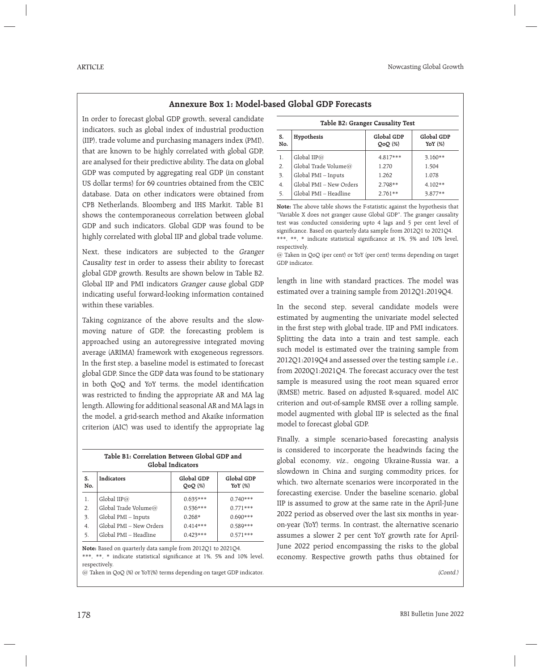## **Annexure Box 1: Model-based Global GDP Forecasts**

In order to forecast global GDP growth, several candidate indicators, such as global index of industrial production (IIP), trade volume and purchasing managers index (PMI), that are known to be highly correlated with global GDP, are analysed for their predictive ability. The data on global GDP was computed by aggregating real GDP (in constant US dollar terms) for 69 countries obtained from the CEIC database. Data on other indicators were obtained from CPB Netherlands, Bloomberg and IHS Markit. Table B1 shows the contemporaneous correlation between global GDP and such indicators. Global GDP was found to be highly correlated with global IIP and global trade volume.

Next, these indicators are subjected to the Granger Causality test in order to assess their ability to forecast global GDP growth. Results are shown below in Table B2. Global IIP and PMI indicators Granger cause global GDP indicating useful forward-looking information contained within these variables.

Taking cognizance of the above results and the slowmoving nature of GDP, the forecasting problem is approached using an autoregressive integrated moving average (ARIMA) framework with exogeneous regressors. In the first step, a baseline model is estimated to forecast global GDP. Since the GDP data was found to be stationary in both QoQ and YoY terms, the model identification was restricted to finding the appropriate AR and MA lag length. Allowing for additional seasonal AR and MA lags in the model, a grid-search method and Akaike information criterion (AIC) was used to identify the appropriate lag

| Table B1: Correlation Between Global GDP and<br>Global Indicators |                         |                         |                         |  |  |
|-------------------------------------------------------------------|-------------------------|-------------------------|-------------------------|--|--|
| S.<br>No.                                                         | Indicators              | Global GDP<br>$QoQ(\%)$ | Global GDP<br>YoY $(%)$ |  |  |
| 1.                                                                | Global IIP $@$          | $0.635***$              | $0.740***$              |  |  |
| 2.                                                                | Global Trade Volume@    | $0.536***$              | $0.771***$              |  |  |
| 3.                                                                | Global PMI - Inputs     | $0.268*$                | $0.690***$              |  |  |
| 4.                                                                | Global PMI - New Orders | $0.414***$              | $0.589***$              |  |  |
| 5.                                                                | Global PMI - Headline   | $0.423***$              | $0.571***$              |  |  |

**Note:** Based on quarterly data sample from 2012Q1 to 2021Q4. \*\*\*, \*\*, \* indicate statistical significance at 1%, 5% and 10% level, respectively.

@ Taken in QoQ (%) or YoY(%) terms depending on target GDP indicator.

| Table B2: Granger Causality Test |                         |                         |                          |  |  |  |
|----------------------------------|-------------------------|-------------------------|--------------------------|--|--|--|
| S.<br>No.                        | Hypothesis              | Global GDP<br>$QoQ(\%)$ | Global GDP<br>YoY $(\%)$ |  |  |  |
| 1.                               | Global IIP $@$          | $4.817***$              | $3.160**$                |  |  |  |
| 2.                               | Global Trade Volume@    | 1.270                   | 1.504                    |  |  |  |
| 3.                               | Global PMI - Inputs     | 1.262                   | 1.078                    |  |  |  |
| 4.                               | Global PMI - New Orders | $2.798**$               | $4.102**$                |  |  |  |
| 5.                               | Global PMI - Headline   | $2.761**$               | $3.877**$                |  |  |  |

**Note:** The above table shows the F-statistic against the hypothesis that "Variable X does not granger cause Global GDP". The granger causality test was conducted considering upto 4 lags and 5 per cent level of significance. Based on quarterly data sample from 2012Q1 to 2021Q4. \*\*\*, \*\*, \* indicate statistical significance at 1%, 5% and 10% level, respectively.

@ Taken in QoQ (per cent) or YoY (per cent) terms depending on target GDP indicator.

length in line with standard practices. The model was estimated over a training sample from 2012Q1:2019Q4.

In the second step, several candidate models were estimated by augmenting the univariate model selected in the first step with global trade, IIP and PMI indicators. Splitting the data into a train and test sample, each such model is estimated over the training sample from 2012Q1:2019Q4 and assessed over the testing sample i.e., from 2020Q1:2021Q4. The forecast accuracy over the test sample is measured using the root mean squared error (RMSE) metric. Based on adjusted R-squared, model AIC criterion and out-of-sample RMSE over a rolling sample, model augmented with global IIP is selected as the final model to forecast global GDP.

Finally, a simple scenario-based forecasting analysis is considered to incorporate the headwinds facing the global economy, viz., ongoing Ukraine-Russia war, a slowdown in China and surging commodity prices, for which, two alternate scenarios were incorporated in the forecasting exercise. Under the baseline scenario, global IIP is assumed to grow at the same rate in the April-June 2022 period as observed over the last six months in yearon-year (YoY) terms. In contrast, the alternative scenario assumes a slower 2 per cent YoY growth rate for April-June 2022 period encompassing the risks to the global economy. Respective growth paths thus obtained for

(Contd.)